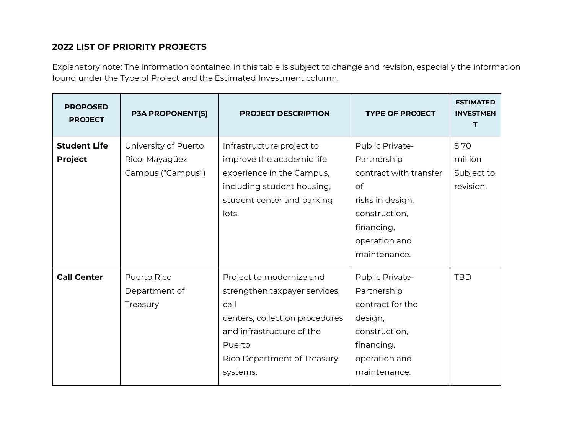## **2022 LIST OF PRIORITY PROJECTS**

Explanatory note: The information contained in this table is subject to change and revision, especially the information found under the Type of Project and the Estimated Investment column.

| <b>PROPOSED</b><br><b>PROJECT</b>     | <b>P3A PROPONENT(S)</b>                                     | <b>PROJECT DESCRIPTION</b>                                                                                                                                                            | <b>TYPE OF PROJECT</b>                                                                                                                             | <b>ESTIMATED</b><br><b>INVESTMEN</b><br>Т  |
|---------------------------------------|-------------------------------------------------------------|---------------------------------------------------------------------------------------------------------------------------------------------------------------------------------------|----------------------------------------------------------------------------------------------------------------------------------------------------|--------------------------------------------|
| <b>Student Life</b><br><b>Project</b> | University of Puerto<br>Rico, Mayagüez<br>Campus ("Campus") | Infrastructure project to<br>improve the academic life<br>experience in the Campus,<br>including student housing,<br>student center and parking<br>lots.                              | Public Private-<br>Partnership<br>contract with transfer<br>of<br>risks in design,<br>construction,<br>financing,<br>operation and<br>maintenance. | \$70<br>million<br>Subject to<br>revision. |
| <b>Call Center</b>                    | Puerto Rico<br>Department of<br>Treasury                    | Project to modernize and<br>strengthen taxpayer services,<br>call<br>centers, collection procedures<br>and infrastructure of the<br>Puerto<br>Rico Department of Treasury<br>systems. | Public Private-<br>Partnership<br>contract for the<br>design,<br>construction,<br>financing,<br>operation and<br>maintenance.                      | <b>TBD</b>                                 |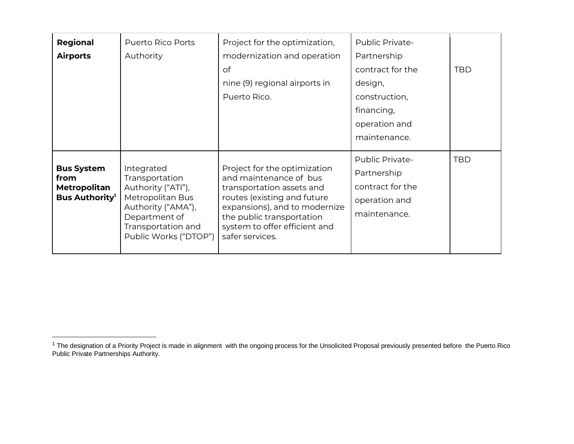| Regional<br><b>Airports</b>                                              | Puerto Rico Ports<br>Authority                                                                                                                               | Project for the optimization,<br>modernization and operation<br>оf<br>nine (9) regional airports in<br>Puerto Rico.                                                                                                                  | Public Private-<br>Partnership<br>contract for the<br>design,<br>construction,<br>financing,<br>operation and<br>maintenance. | <b>TBD</b> |
|--------------------------------------------------------------------------|--------------------------------------------------------------------------------------------------------------------------------------------------------------|--------------------------------------------------------------------------------------------------------------------------------------------------------------------------------------------------------------------------------------|-------------------------------------------------------------------------------------------------------------------------------|------------|
| <b>Bus System</b><br>from<br><b>Metropolitan</b><br><b>Bus Authority</b> | Integrated<br>Transportation<br>Authority ("ATI"),<br>Metropolitan Bus<br>Authority ("AMA"),<br>Department of<br>Transportation and<br>Public Works ("DTOP") | Project for the optimization<br>and maintenance of bus<br>transportation assets and<br>routes (existing and future<br>expansions), and to modernize<br>the public transportation<br>system to offer efficient and<br>safer services. | Public Private-<br>Partnership<br>contract for the<br>operation and<br>maintenance.                                           | <b>TBD</b> |

<sup>&</sup>lt;sup>1</sup> The designation of a Priority Project is made in alignment with the ongoing process for the Unsolicited Proposal previously presented before the Puerto Rico Public Private Partnerships Authority.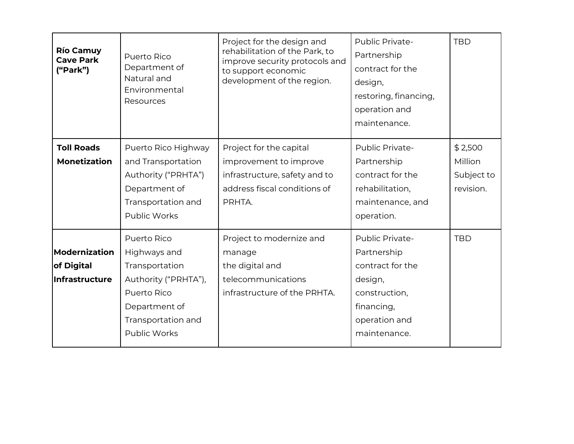| <b>Río Camuy</b><br><b>Cave Park</b><br>("Park") | Puerto Rico<br>Department of<br>Natural and<br>Environmental<br>Resources                                                                          | Project for the design and<br>rehabilitation of the Park, to<br>improve security protocols and<br>to support economic<br>development of the region. | Public Private-<br>Partnership<br>contract for the<br>design,<br>restoring, financing,<br>operation and<br>maintenance.              | <b>TBD</b>                                    |
|--------------------------------------------------|----------------------------------------------------------------------------------------------------------------------------------------------------|-----------------------------------------------------------------------------------------------------------------------------------------------------|--------------------------------------------------------------------------------------------------------------------------------------|-----------------------------------------------|
| <b>Toll Roads</b><br><b>Monetization</b>         | Puerto Rico Highway<br>and Transportation<br>Authority ("PRHTA")<br>Department of<br>Transportation and<br>Public Works                            | Project for the capital<br>improvement to improve<br>infrastructure, safety and to<br>address fiscal conditions of<br>PRHTA.                        | Public Private-<br>Partnership<br>contract for the<br>rehabilitation,<br>maintenance, and<br>operation.                              | \$2,500<br>Million<br>Subject to<br>revision. |
| Modernization<br>of Digital<br>Infrastructure    | Puerto Rico<br>Highways and<br>Transportation<br>Authority ("PRHTA"),<br>Puerto Rico<br>Department of<br>Transportation and<br><b>Public Works</b> | Project to modernize and<br>manage<br>the digital and<br>telecommunications<br>infrastructure of the PRHTA.                                         | <b>Public Private-</b><br>Partnership<br>contract for the<br>design,<br>construction,<br>financing,<br>operation and<br>maintenance. | <b>TBD</b>                                    |